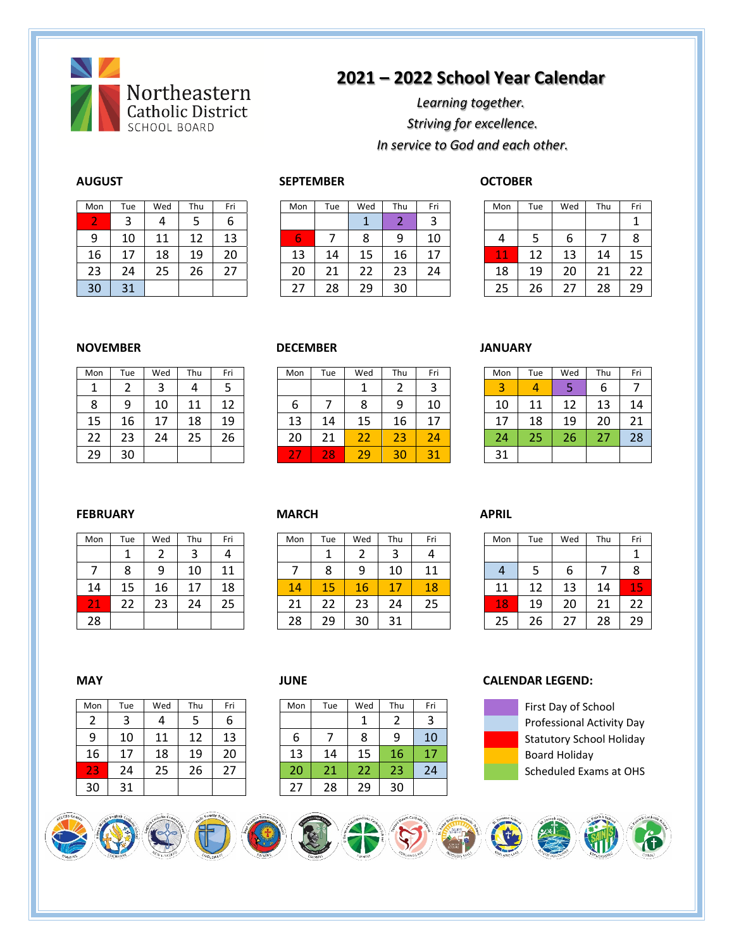

## **2021 – 2022 School Year Calendar**

*Learning together. Striving for excellence. In service to God and each other.*

| Mon | Tue | Wed | Thu | Fri |
|-----|-----|-----|-----|-----|
| 2   | 3   |     | 5   | 6   |
| 9   | 10  | 11  | 12  | 13  |
| 16  | 17  | 18  | 19  | 20  |
| 23  | 24  | 25  | 26  | 27  |
| 30  | 31  |     |     |     |

| Mon | Tue    | Wed | Thu | Fri | Mon           | Tue    | Wed | Thu | Fri    | Mon                 | Tue | Wed      | Thu | Fri |
|-----|--------|-----|-----|-----|---------------|--------|-----|-----|--------|---------------------|-----|----------|-----|-----|
|     | ς<br>د | 4   | ت   | ь   |               |        |     |     | 2<br>ر |                     |     |          |     |     |
| 9   | 10     | 11  | 12  | 13  | والمتعاد<br>b |        | 8   | 9   | 10     | 4                   |     |          |     | 8   |
| 16  | 17     | 18  | 19  | 20  | 13            | 14     | 15  | 16  | 17     | 4<br><b>A</b><br>上上 | 12  | 13       | 14  | 15  |
| 23  | 24     | 25  | 26  |     | 20            | ີ<br>ᅀ | 22  | 23  | 24     | 18                  | 19  | 20       | 21  | າາ  |
| 30  | 31     |     |     |     | 27            | 28     | 29  | 30  |        | 25                  | 26  | <u>.</u> | 28  | 29  |

### **AUGUST SEPTEMBER OCTOBER**

| Mon | Tue | Wed | Thu | Fri |
|-----|-----|-----|-----|-----|
|     |     |     |     |     |
| 4   | 5   | 6   |     | 8   |
| 11  | 12  | 13  | 14  | 15  |
| 18  | 19  | 20  | 21  | 22  |
| 25  | 26  | 27  | 28  | 29  |

### **NOVEMBER DECEMBER JANUARY**

| Mon | Tue | Wed | Thu | Fri |
|-----|-----|-----|-----|-----|
|     | 2   | 3   | 4   | 5   |
| 8   | 9   | 10  | 11  | 12  |
| 15  | 16  | 17  | 18  | 19  |
| 22  | 23  | 24  | 25  | 26  |
| 29  | 30  |     |     |     |

| Tue | Wed      | Thu | Fri | Mon                           | Tue | Wed           | Thu | Fri    | Mon    | Tue | Wed                 | Thu     | Fri |
|-----|----------|-----|-----|-------------------------------|-----|---------------|-----|--------|--------|-----|---------------------|---------|-----|
| ⌒   | ⌒<br>ٮ   | 4   |     |                               |     |               | ⌒   | 2<br>ر | э<br>ت | Δ   |                     | o       |     |
| 9   | 10       | 11  | 12  | ь                             |     |               | 9   | 10     | 10     | 11  |                     | 13      | 14  |
| 16  | 1 7<br>⊥ | 18  | 19  | 13                            | 14  | 15            | 16  | 17     | 17     | 18  | 19                  | 20      | 21  |
| 23  | 24       | 25  | 26  | 20                            | 21  | $\sim$ $\sim$ | 23  | 24     | 24     | 25  | $\sim$ $\sim$<br>۷b | -<br>27 | 28  |
| 30  |          |     |     | $\overline{\phantom{a}}$<br>- | 28  | 29            | 30  | 31     | 31     |     |                     |         |     |
|     |          |     |     |                               |     |               |     |        |        |     |                     |         |     |

| Mon | Tue | Wed | Thu | Fri |
|-----|-----|-----|-----|-----|
| 3   |     | 5   | 6   |     |
| 10  | 11  | 12  | 13  | 14  |
| 17  | 18  | 19  | 20  | 21  |
| 24  | 25  | 26  | 27  | 28  |
| 31  |     |     |     |     |

### **FEBRUARY CONTROLL MARCH APRIL**

| Mon | Tue | Wed | Thu | Fri |
|-----|-----|-----|-----|-----|
|     |     | 2   | 3   | 4   |
|     | 8   | 9   | 10  | 11  |
| 14  | 15  | 16  | 17  | 18  |
| 21  | 22  | 23  | 24  | 25  |
| 28  |     |     |     |     |

| Mon        | Tue    | Wed | Thu    | Fri | Mon     | Tue    | Wed | Thu | Fri | Mon        | Tue | Wed                 | Thu | Fri                   |
|------------|--------|-----|--------|-----|---------|--------|-----|-----|-----|------------|-----|---------------------|-----|-----------------------|
|            |        |     | ◠<br>ت | 4   |         |        |     | ◠   |     |            |     |                     |     |                       |
|            | o<br>δ | 9   | 10     | 11  |         | о<br>٥ | a   | 10  | 11  | 4          |     | O                   |     | 8                     |
| 14         | 15     | 16  | 17     | 18  | 14      | 15     | 16  | 17  | 18  | 11         | 12  | 13                  | 14  | 1 E<br><b>Service</b> |
| n.<br>$-1$ | 22     | 23  | 24     | 25  | ີ<br>∠⊥ | າາ     | 23  | 24  | 25  | <b>187</b> | 19  | 20                  | 21  | 22                    |
| 28         |        |     |        |     | 28      | 29     | 30  | ີ   |     | 25         | 26  | $\lnot$<br><u>.</u> | 28  | 29                    |

| Mon | Tue | Wed | Thu | Fri |
|-----|-----|-----|-----|-----|
|     |     |     |     |     |
| 4   | 5   | 6   |     | 8   |
| 11  | 12  | 13  | 14  | 15  |
| 18  | 19  | 20  | 21  | 22  |
| 25  | 26  | 27  | 28  | 29  |

| Mon | Tue | Wed | Thu | Fri | Mon | Tue | Wed | Thu | Fri |
|-----|-----|-----|-----|-----|-----|-----|-----|-----|-----|
| 2   | 3   |     |     | b   |     |     | 1   |     | 3   |
| 9   | 10  | 11  | 12  | 13  | 6   |     | 8   | 9   | 10  |
| 16  | 17  | 18  | 19  | 20  | 13  | 14  | 15  | 16  |     |
| 23  | 24  | 25  | 26  | 27  | 20  | 21  | 22  | 23  | 24  |
| 30  | 31  |     |     |     | 27  | 28  | 29  | 30  |     |

| 1on | Tue | Wed | Thu | Fri | Mon | Tue | Wed | Thu | Fri |
|-----|-----|-----|-----|-----|-----|-----|-----|-----|-----|
| 2   |     | 4   |     | ь   |     |     |     |     | 3   |
| 9   | 10  | 11  | 12  | 13  | ь   |     | 8   |     | 10  |
| 6   |     | 18  | 19  | 20  | 13  | 14  |     | 16  | 17  |
| 13  | 24  | 25  | 26  |     | 20  | 21  | 22  | 23  | 24  |
| 30  |     |     |     |     | 27  | 28  | 29  | 30  |     |

### **MAY JUNE CALENDAR LEGEND:**



First Day of School Professional Activity Day Statutory School Holiday Board Holiday Scheduled Exams at OHS